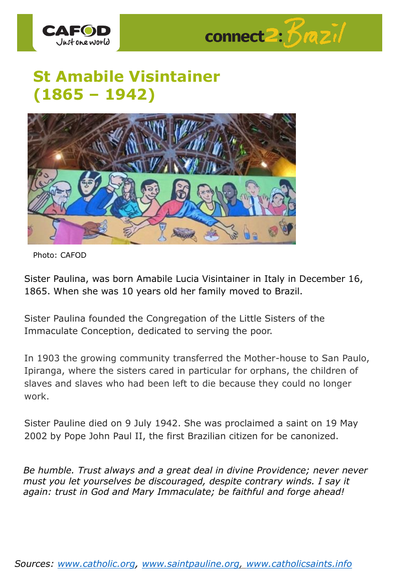



## **St Amabile Visintainer (1865 – 1942)**



Photo: CAFOD

Sister Paulina, was born Amabile Lucia Visintainer in Italy in December 16, 1865. When she was 10 years old her family moved to Brazil.

Sister Paulina founded the Congregation of the Little Sisters of the Immaculate Conception, dedicated to serving the poor.

In 1903 the growing community transferred the Mother-house to San Paulo, Ipiranga, where the sisters cared in particular for orphans, the children of slaves and slaves who had been left to die because they could no longer work.

Sister Pauline died on 9 July 1942. She was proclaimed a saint on 19 May 2002 by Pope John Paul II, the first Brazilian citizen for be canonized.

*Be humble. Trust always and a great deal in divine Providence; never never must you let yourselves be discouraged, despite contrary winds. I say it again: trust in God and Mary Immaculate; be faithful and forge ahead!*